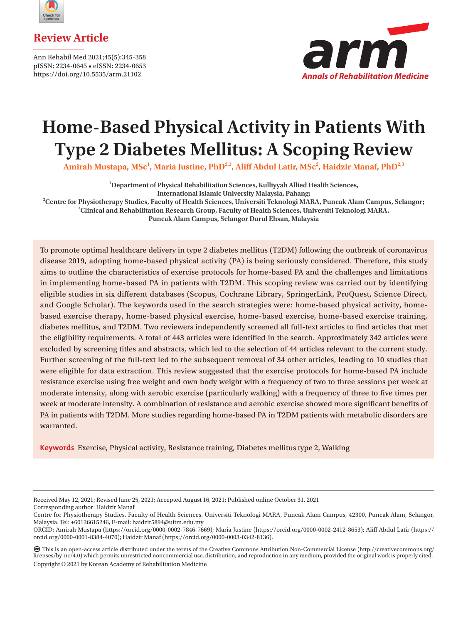



Ann Rehabil Med 2021;45(5):345-358 pISSN: 2234-0645 • eISSN: 2234-0653 https://doi.org/10.5535/arm.21102



# **Home-Based Physical Activity in Patients With Type 2 Diabetes Mellitus: A Scoping Review**

Amirah Mustapa, MSc<sup>1</sup>, Maria Justine, PhD<sup>2,3</sup>, Aliff Abdul Latir, MSc<sup>2</sup>, Haidzir Manaf, PhD<sup>2,3</sup>

**1 Department of Physical Rehabilitation Sciences, Kulliyyah Allied Health Sciences, International Islamic University Malaysia, Pahang;**

<sup>2</sup> Centre for Physiotherapy Studies, Faculty of Health Sciences, Universiti Teknologi MARA, Puncak Alam Campus, Selangor; <sup>3</sup>Clinical and Behabilitation Bessarsh Crown, Faculty of Health Sciences, Universiti Teknologi MAR **Clinical and Rehabilitation Research Group, Faculty of Health Sciences, Universiti Teknologi MARA,**

**Puncak Alam Campus, Selangor Darul Ehsan, Malaysia**

To promote optimal healthcare delivery in type 2 diabetes mellitus (T2DM) following the outbreak of coronavirus disease 2019, adopting home-based physical activity (PA) is being seriously considered. Therefore, this study aims to outline the characteristics of exercise protocols for home-based PA and the challenges and limitations in implementing home-based PA in patients with T2DM. This scoping review was carried out by identifying eligible studies in six different databases (Scopus, Cochrane Library, SpringerLink, ProQuest, Science Direct, and Google Scholar). The keywords used in the search strategies were: home-based physical activity, homebased exercise therapy, home-based physical exercise, home-based exercise, home-based exercise training, diabetes mellitus, and T2DM. Two reviewers independently screened all full-text articles to find articles that met the eligibility requirements. A total of 443 articles were identified in the search. Approximately 342 articles were excluded by screening titles and abstracts, which led to the selection of 44 articles relevant to the current study. Further screening of the full-text led to the subsequent removal of 34 other articles, leading to 10 studies that were eligible for data extraction. This review suggested that the exercise protocols for home-based PA include resistance exercise using free weight and own body weight with a frequency of two to three sessions per week at moderate intensity, along with aerobic exercise (particularly walking) with a frequency of three to five times per week at moderate intensity. A combination of resistance and aerobic exercise showed more significant benefits of PA in patients with T2DM. More studies regarding home-based PA in T2DM patients with metabolic disorders are warranted.

**Keywords** Exercise, Physical activity, Resistance training, Diabetes mellitus type 2, Walking

Corresponding author: Haidzir Manaf

Received May 12, 2021; Revised June 25, 2021; Accepted August 16, 2021; Published online October 31, 2021

Centre for Physiotherapy Studies, Faculty of Health Sciences, Universiti Teknologi MARA, Puncak Alam Campus, 42300, Puncak Alam, Selangor, Malaysia. Tel: +60126615246, E-mail: [haidzir5894@uitm.edu.my](mailto:haidzir5894@uitm.edu.my)

ORCID: Amirah Mustapa (<https://orcid.org/0000-0002-7846-7669>); Maria Justine (<https://orcid.org/0000-0002-2412-8653>); Aliff Abdul Latir [\(https://](https://orcid.org/0000-0001-8384-4070) [orcid.org/0000-0001-8384-4070\)](https://orcid.org/0000-0001-8384-4070); Haidzir Manaf [\(https://orcid.org/0000-0003-0342-8136\)](https://orcid.org/0000-0003-0342-8136).

This is an open-access article distributed under the terms of the Creative Commons Attribution Non-Commercial License (http://creativecommons.org/ licenses/by-nc/4.0) which permits unrestricted noncommercial use, distribution, and reproduction in any medium, provided the original work is properly cited. Copyright © 2021 by Korean Academy of Rehabilitation Medicine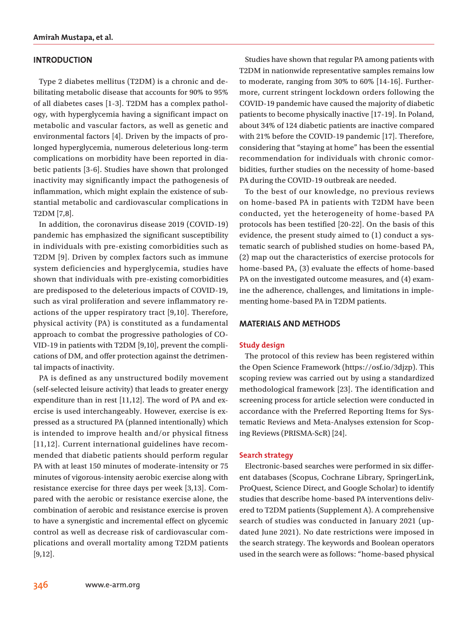## **INTRODUCTION**

Type 2 diabetes mellitus (T2DM) is a chronic and debilitating metabolic disease that accounts for 90% to 95% of all diabetes cases [1-3]. T2DM has a complex pathology, with hyperglycemia having a significant impact on metabolic and vascular factors, as well as genetic and environmental factors [4]. Driven by the impacts of prolonged hyperglycemia, numerous deleterious long-term complications on morbidity have been reported in diabetic patients [3-6]. Studies have shown that prolonged inactivity may significantly impact the pathogenesis of inflammation, which might explain the existence of substantial metabolic and cardiovascular complications in T2DM [7,8].

In addition, the coronavirus disease 2019 (COVID-19) pandemic has emphasized the significant susceptibility in individuals with pre-existing comorbidities such as T2DM [9]. Driven by complex factors such as immune system deficiencies and hyperglycemia, studies have shown that individuals with pre-existing comorbidities are predisposed to the deleterious impacts of COVID-19, such as viral proliferation and severe inflammatory reactions of the upper respiratory tract [9,10]. Therefore, physical activity (PA) is constituted as a fundamental approach to combat the progressive pathologies of CO-VID-19 in patients with T2DM [9,10], prevent the complications of DM, and offer protection against the detrimental impacts of inactivity.

PA is defined as any unstructured bodily movement (self-selected leisure activity) that leads to greater energy expenditure than in rest [11,12]. The word of PA and exercise is used interchangeably. However, exercise is expressed as a structured PA (planned intentionally) which is intended to improve health and/or physical fitness [11,12]. Current international guidelines have recommended that diabetic patients should perform regular PA with at least 150 minutes of moderate-intensity or 75 minutes of vigorous-intensity aerobic exercise along with resistance exercise for three days per week [3,13]. Compared with the aerobic or resistance exercise alone, the combination of aerobic and resistance exercise is proven to have a synergistic and incremental effect on glycemic control as well as decrease risk of cardiovascular complications and overall mortality among T2DM patients [9,12].

Studies have shown that regular PA among patients with T2DM in nationwide representative samples remains low to moderate, ranging from 30% to 60% [14-16]. Furthermore, current stringent lockdown orders following the COVID-19 pandemic have caused the majority of diabetic patients to become physically inactive [17-19]. In Poland, about 34% of 124 diabetic patients are inactive compared with 21% before the COVID-19 pandemic [17]. Therefore, considering that "staying at home" has been the essential recommendation for individuals with chronic comorbidities, further studies on the necessity of home-based PA during the COVID-19 outbreak are needed.

To the best of our knowledge, no previous reviews on home-based PA in patients with T2DM have been conducted, yet the heterogeneity of home-based PA protocols has been testified [20-22]. On the basis of this evidence, the present study aimed to (1) conduct a systematic search of published studies on home-based PA, (2) map out the characteristics of exercise protocols for home-based PA, (3) evaluate the effects of home-based PA on the investigated outcome measures, and (4) examine the adherence, challenges, and limitations in implementing home-based PA in T2DM patients.

#### **MATERIALS AND METHODS**

#### **Study design**

The protocol of this review has been registered within the Open Science Framework [\(https://osf.io/3djzp](https://osf.io/3djzp)). This scoping review was carried out by using a standardized methodological framework [23]. The identification and screening process for article selection were conducted in accordance with the Preferred Reporting Items for Systematic Reviews and Meta-Analyses extension for Scoping Reviews (PRISMA-ScR) [24].

#### **Search strategy**

Electronic-based searches were performed in six different databases (Scopus, Cochrane Library, SpringerLink, ProQuest, Science Direct, and Google Scholar) to identify studies that describe home-based PA interventions delivered to T2DM patients (Supplement A). A comprehensive search of studies was conducted in January 2021 (updated June 2021). No date restrictions were imposed in the search strategy. The keywords and Boolean operators used in the search were as follows: "home-based physical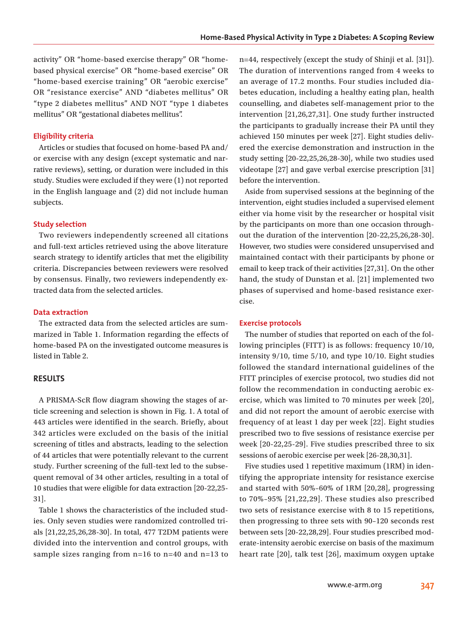activity" OR "home-based exercise therapy" OR "homebased physical exercise" OR "home-based exercise" OR "home-based exercise training" OR "aerobic exercise" OR "resistance exercise" AND "diabetes mellitus" OR "type 2 diabetes mellitus" AND NOT "type 1 diabetes mellitus" OR "gestational diabetes mellitus".

#### **Eligibility criteria**

Articles or studies that focused on home-based PA and/ or exercise with any design (except systematic and narrative reviews), setting, or duration were included in this study. Studies were excluded if they were (1) not reported in the English language and (2) did not include human subjects.

#### **Study selection**

Two reviewers independently screened all citations and full-text articles retrieved using the above literature search strategy to identify articles that met the eligibility criteria. Discrepancies between reviewers were resolved by consensus. Finally, two reviewers independently extracted data from the selected articles.

#### **Data extraction**

The extracted data from the selected articles are summarized in Table 1. Information regarding the effects of home-based PA on the investigated outcome measures is listed in Table 2.

#### **RESULTS**

A PRISMA-ScR flow diagram showing the stages of article screening and selection is shown in Fig. 1. A total of 443 articles were identified in the search. Briefly, about 342 articles were excluded on the basis of the initial screening of titles and abstracts, leading to the selection of 44 articles that were potentially relevant to the current study. Further screening of the full-text led to the subsequent removal of 34 other articles, resulting in a total of 10 studies that were eligible for data extraction [20-22,25- 31].

Table 1 shows the characteristics of the included studies. Only seven studies were randomized controlled trials [21,22,25,26,28-30]. In total, 477 T2DM patients were divided into the intervention and control groups, with sample sizes ranging from n=16 to n=40 and n=13 to n=44, respectively (except the study of Shinji et al. [31]). The duration of interventions ranged from 4 weeks to an average of 17.2 months. Four studies included diabetes education, including a healthy eating plan, health counselling, and diabetes self-management prior to the intervention [21,26,27,31]. One study further instructed the participants to gradually increase their PA until they achieved 150 minutes per week [27]. Eight studies delivered the exercise demonstration and instruction in the study setting [20-22,25,26,28-30], while two studies used videotape [27] and gave verbal exercise prescription [31] before the intervention.

Aside from supervised sessions at the beginning of the intervention, eight studies included a supervised element either via home visit by the researcher or hospital visit by the participants on more than one occasion throughout the duration of the intervention [20-22,25,26,28-30]. However, two studies were considered unsupervised and maintained contact with their participants by phone or email to keep track of their activities [27,31]. On the other hand, the study of Dunstan et al. [21] implemented two phases of supervised and home-based resistance exercise.

#### **Exercise protocols**

The number of studies that reported on each of the following principles (FITT) is as follows: frequency 10/10, intensity 9/10, time 5/10, and type 10/10. Eight studies followed the standard international guidelines of the FITT principles of exercise protocol, two studies did not follow the recommendation in conducting aerobic exercise, which was limited to 70 minutes per week [20], and did not report the amount of aerobic exercise with frequency of at least 1 day per week [22]. Eight studies prescribed two to five sessions of resistance exercise per week [20-22,25-29]. Five studies prescribed three to six sessions of aerobic exercise per week [26-28,30,31].

Five studies used 1 repetitive maximum (1RM) in identifying the appropriate intensity for resistance exercise and started with 50%–60% of 1RM [20,28], progressing to 70%–95% [21,22,29]. These studies also prescribed two sets of resistance exercise with 8 to 15 repetitions, then progressing to three sets with 90–120 seconds rest between sets [20-22,28,29]. Four studies prescribed moderate-intensity aerobic exercise on basis of the maximum heart rate [20], talk test [26], maximum oxygen uptake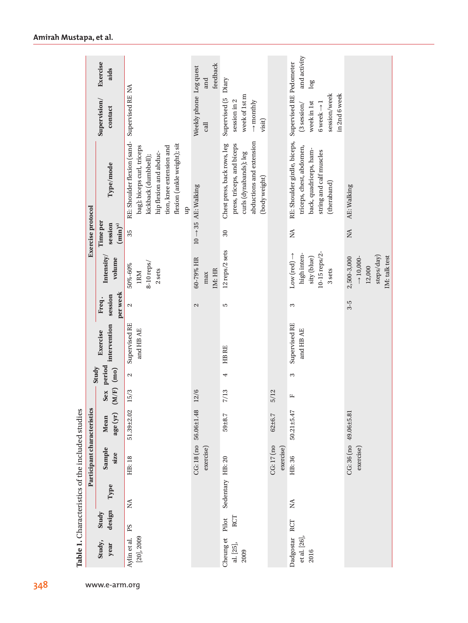|                                                  |                             | Exercise<br>aids                     |                                                                                                                                                                                          | feedback<br>and                 | Diary                                                                                                                            |                         | and activity<br>log                                                                                                          |                                                                               |
|--------------------------------------------------|-----------------------------|--------------------------------------|------------------------------------------------------------------------------------------------------------------------------------------------------------------------------------------|---------------------------------|----------------------------------------------------------------------------------------------------------------------------------|-------------------------|------------------------------------------------------------------------------------------------------------------------------|-------------------------------------------------------------------------------|
|                                                  |                             | Supervision/<br>contact              | Supervised RE NA                                                                                                                                                                         | Weekly phone Log quest<br>calI  | week of 1st m<br>Supervised (5<br>session in 2<br>$\rightarrow$ monthly<br>visit)                                                |                         | Supervised RE Pedometer<br>session/week<br>in 2nd 6 week<br>week in 1st<br>6 week $\rightarrow$ 1<br>$(3$ session/           |                                                                               |
|                                                  |                             | Type/mode                            | RE: Shoulder flexion (sand-<br>flexion (ankle weight); sit<br>bag); biceps curl, triceps<br>tion, knee extension and<br>hip flexion and abduc-<br>kickback (dumbbell);<br>$\mathfrak{p}$ | $10 \rightarrow 35$ AE: Walking | abductions and extension<br>press, triceps, and biceps<br>Chest press, back rows, leg<br>curls (dynabands); leg<br>(body weight) |                         | RE: Shoulder girdle, biceps,<br>triceps, chest, abdomen,<br>back, quadriceps, ham-<br>string and calf muscles<br>(theraband) | AE: Walking                                                                   |
|                                                  | <b>Exercise</b> protocol    | Time per<br>session<br>$(\min)^{a)}$ | 35                                                                                                                                                                                       |                                 | $30\,$                                                                                                                           |                         | $\stackrel{\triangle}{\simeq}$                                                                                               | $\mathop{\rm NA}\nolimits$                                                    |
|                                                  |                             | Intensity/<br>volume                 | 8-10 reps/<br>50%-60%<br>2 sets<br><b>IRM</b>                                                                                                                                            | 60-79% HR<br>IM: HR<br>max      | 12 reps/2 sets                                                                                                                   |                         | 10-15 reps/2-<br>high inten-<br>$Low (red) \rightarrow$<br>sity (blue)<br>3 sets                                             | steps/day)<br>2,500-3,000<br>IM: talk test<br>$\rightarrow$ 10,000-<br>12,000 |
|                                                  |                             | per week<br>session<br>Freq.         | $\mathbf{\Omega}$                                                                                                                                                                        | $\mathbf{\Omega}$               | Б                                                                                                                                |                         | 3                                                                                                                            | $3-5$                                                                         |
|                                                  |                             | intervention<br>Exercise             | Supervised RE<br>and HB AE                                                                                                                                                               |                                 | HB RE                                                                                                                            |                         | Supervised RE<br>and HB AE                                                                                                   |                                                                               |
|                                                  |                             | period<br>Study<br>(m <sub>0</sub> ) | $\mathbf{\Omega}$                                                                                                                                                                        |                                 | 4                                                                                                                                |                         | 3                                                                                                                            |                                                                               |
|                                                  |                             | (M/F)<br>Sex                         | 15/3                                                                                                                                                                                     | 12/6                            | 7/13                                                                                                                             | 5/12                    | $\mathbf{L}$                                                                                                                 |                                                                               |
| Table 1. Characteristics of the included studies | Participant characteristics | age (yr)<br>Mean                     | 51.39±2.02                                                                                                                                                                               | CG: 18 (no 56.06±1.48           | $59 + 8.7$                                                                                                                       | $62 + 6.7$              | 50.21±5.47                                                                                                                   | CG: 36 (no 49.06±5.81                                                         |
|                                                  |                             | Sample<br>size                       | HB: 18                                                                                                                                                                                   | exercise)                       |                                                                                                                                  | CG: 17 (no<br>exercise) | HB: 36                                                                                                                       | exercise)                                                                     |
|                                                  |                             | Type                                 | $\lessapprox$                                                                                                                                                                            |                                 | Sedentary HB: 20                                                                                                                 |                         | $\lesssim$                                                                                                                   |                                                                               |
|                                                  |                             | design<br>Study                      | PS                                                                                                                                                                                       |                                 | RCT<br>Pilot                                                                                                                     |                         | RCT                                                                                                                          |                                                                               |
|                                                  |                             | Study,<br>year                       | $[20]$ , $2009$<br>Aylin et al.                                                                                                                                                          |                                 | Cheung et<br>al. [25],<br>2009                                                                                                   |                         | Dadgostar<br>et al. [26],<br>2016                                                                                            |                                                                               |
| 348                                              |                             | www.e-arm.org                        |                                                                                                                                                                                          |                                 |                                                                                                                                  |                         |                                                                                                                              |                                                                               |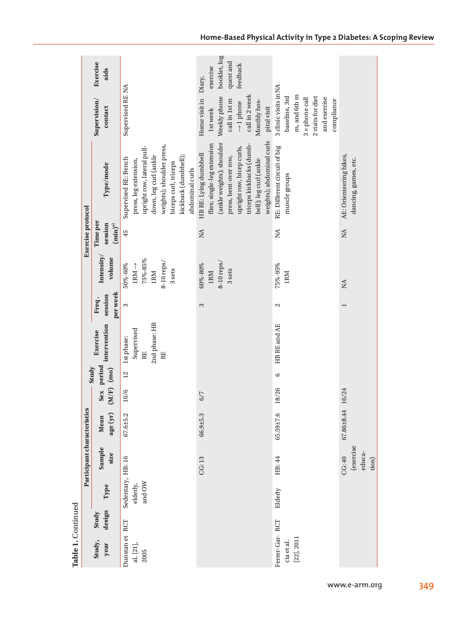| Table 1. Continued                              |                 |                                         |                               |                             |       |                                     |                                                       |                              |                                                                                 |                                     |                                                                                                                                                                                                                            |                                                                                                                                             |                                                   |
|-------------------------------------------------|-----------------|-----------------------------------------|-------------------------------|-----------------------------|-------|-------------------------------------|-------------------------------------------------------|------------------------------|---------------------------------------------------------------------------------|-------------------------------------|----------------------------------------------------------------------------------------------------------------------------------------------------------------------------------------------------------------------------|---------------------------------------------------------------------------------------------------------------------------------------------|---------------------------------------------------|
|                                                 |                 |                                         |                               | Participant characteristics |       |                                     |                                                       |                              |                                                                                 | <b>Exercise</b> protocol            |                                                                                                                                                                                                                            |                                                                                                                                             |                                                   |
| Study,<br>year                                  | design<br>Study | Type                                    | Sample<br>size                | age (yr)<br>Mean            |       | Sex period<br>Study<br>$(M/F)$ (mo) | intervention<br>Exercise                              | per week<br>session<br>Freq. | Intensity/<br>volume                                                            | Time per<br>session<br>$(min)^{a)}$ | Type/mode                                                                                                                                                                                                                  | Supervision/<br>contact                                                                                                                     | Exercise<br>aids                                  |
| Dunstan et RCT<br>al. [21],<br>2005             |                 | Sedentary, HB: 16<br>and OW<br>elderly, |                               | 67.6±5.2                    | 10/6  | $\overline{2}$                      | 2nd phase: HB<br>Supervised<br>1st phase:<br>RE<br>RE | 3                            | 75%-85%<br>$8-10$ reps/<br>50%-60%<br>$IRM \rightarrow$<br>3 sets<br><b>IRM</b> | 45                                  | weights); shoulder press,<br>upright row, lateral pull-<br>kickback (dumbbell);<br>down, leg curl (ankle<br>Supervised RE: Bench<br>press, leg extension,<br>biceps curl, triceps<br>abdominal curls                       | Supervised RE NA                                                                                                                            |                                                   |
|                                                 |                 |                                         | CG:13                         | 66.9±5.3                    | 6/7   |                                     |                                                       | 3                            | $8-10$ reps/<br>60%-80%<br>3 sets<br>1RM                                        | NA                                  | weights); abdominal curls<br>(ankle weights); shoulder<br>flies; single-leg extension<br>triceps kickbacks (dumb-<br>upright row, bicep curls,<br>HB RE: Lying dumbbell<br>press, bent-over row,<br>bell); leg curl (ankle | Home visit in Diary,<br>Weekly phone<br>call in 2 week<br>call in 1st m<br>Monthly hos-<br>$\rightarrow$ 1 phone<br>pital visit<br>1st week | booklet, log<br>quest and<br>feedback<br>exercise |
| Ferrer-Gar-RCT<br>$[22]$ , $2011$<br>cia et al. |                 | Elderly                                 | HB: 44                        | 65.59±7.6                   | 18/26 | 6                                   | HB RE and AE                                          | 2                            | 75%-95%<br><b>IRM</b>                                                           | $\mathbb{A}$                        | RE: Different circuit of big<br>muscle groups                                                                                                                                                                              | 3 clinic visits inNA<br>m, and 6th m<br>2 visits for diet<br>baseline, 3rd<br>and exercise<br>3 x phone call<br>compliance                  |                                                   |
|                                                 |                 |                                         | (exercise<br>educa-<br>CG: 40 | 67.86±8.44                  | 16/24 |                                     |                                                       | I                            | Ń                                                                               | $\mathbb{X}$                        | AE: Orienteering hikes,<br>dancing, games, etc.                                                                                                                                                                            |                                                                                                                                             |                                                   |

**Home-Based Physical Activity in Type 2 Diabetes: A Scoping Review**

tion)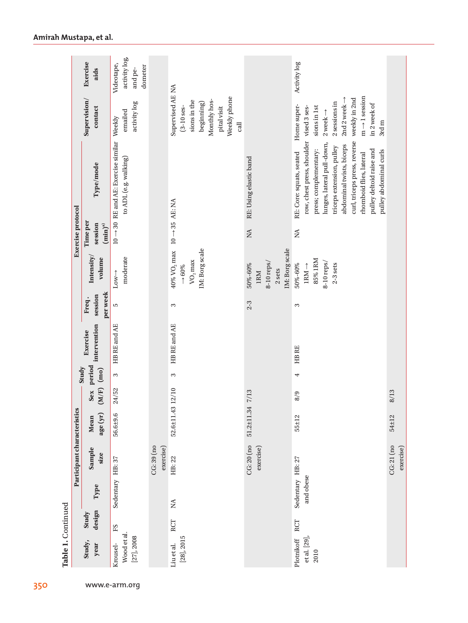|                             | Exercise<br>aids                     | activity log,<br>Videotape,<br>dometer<br>and pe-                               |                        |                                                                                                                        |                                                                   | Activity log                                                                                                                                                                                                                                                                                         |             |
|-----------------------------|--------------------------------------|---------------------------------------------------------------------------------|------------------------|------------------------------------------------------------------------------------------------------------------------|-------------------------------------------------------------------|------------------------------------------------------------------------------------------------------------------------------------------------------------------------------------------------------------------------------------------------------------------------------------------------------|-------------|
|                             | Supervision/<br>contact              | activity log<br>emailed                                                         |                        | Supervised AE NA<br>Weekly phone<br>Monthly hos-<br>sions in the<br>beginning)<br>$(3-10)$ ses-<br>pital visit<br>call |                                                                   | $m \rightarrow 1$ session<br>weekly in 2nd<br>2nd 2 week $\rightarrow$<br>2 sessions in<br>in 2 week of<br>Home super-<br>sions in 1st<br>$2$ week $\rightarrow$<br>3rd m                                                                                                                            |             |
|                             | Type/mode                            | $10 \rightarrow 30$ RE and AE: Exercise similar Weekly<br>to ADL (e.g. walking) |                        | $10 \rightarrow 35$ AE: NA                                                                                             | RE: Using elastic band                                            | row, chest press, shoulder vised 3 ses-<br>curl, triceps press, reverse<br>lunges, lateral pull-down,<br>abdominal twists, biceps<br>triceps extension, pulley<br>press; complementary:<br>pulley deltoid raise and<br>pulley abdominal curls<br>RE: Core: squats, seated<br>rhomboid flies, lateral |             |
| <b>Exercise</b> protocol    | Time per<br>session<br>$(\min)^{a)}$ |                                                                                 |                        |                                                                                                                        | $\rm \stackrel{AA}{\sim}$                                         | $\stackrel{\triangle}{\simeq}$                                                                                                                                                                                                                                                                       |             |
|                             | Intensity/<br>volume                 | moderate<br>$Low \rightarrow$                                                   |                        | IM: Borg scale<br>$40\%$ VO $_2$ max<br>$\rm VO_{2}$ max<br>$\rightarrow 60\%$                                         | IM: Borg scale<br>$8-10$ reps/<br>50%-60%<br>2 sets<br><b>IRM</b> | 85% IRM<br>$8-10$ reps/<br>50%-60%<br>$2-3$ sets<br>$1RM \rightarrow$                                                                                                                                                                                                                                |             |
|                             | per week<br>session<br>Freq.         | LO.                                                                             |                        | 3                                                                                                                      | $2 - 3$                                                           | 3                                                                                                                                                                                                                                                                                                    |             |
|                             | intervention<br>Exercise             | HB RE and AE                                                                    |                        | HB RE and AE                                                                                                           |                                                                   | HB RE                                                                                                                                                                                                                                                                                                |             |
|                             | Sex period<br>Study                  | 3                                                                               |                        | 3                                                                                                                      |                                                                   | 4                                                                                                                                                                                                                                                                                                    |             |
|                             | $(m/F)$ (mo)                         | 24/52                                                                           |                        | 12/10                                                                                                                  | 7/13                                                              | 8/9                                                                                                                                                                                                                                                                                                  | 8/13        |
|                             | age (yr)<br>Mean                     | 56.6±9.6                                                                        |                        | $52.6 \pm 11.43$                                                                                                       | 51.2±11.34                                                        | 55±12                                                                                                                                                                                                                                                                                                | 54±12       |
| Participant characteristics | Sample<br>size                       |                                                                                 | CG:39 (no<br>exercise) | HB: 22                                                                                                                 | CG: 20 (no<br>exercise)                                           |                                                                                                                                                                                                                                                                                                      | $CG:21$ (no |
|                             | Type                                 | Sedentary HB: 37                                                                |                        | $\lesssim$                                                                                                             |                                                                   | Sedentary HB: 27<br>and obese                                                                                                                                                                                                                                                                        |             |
|                             | design<br>Study                      | $\operatorname{ES}$                                                             |                        | RCT                                                                                                                    |                                                                   | RCT                                                                                                                                                                                                                                                                                                  |             |
|                             | Study,<br>year                       | Wood et al.<br>$[27]$ , 2008<br>Krousel-                                        |                        | $[28]$ , $2015$<br>Liu et al.                                                                                          |                                                                   | et al. [29],<br>Plotnikoff<br>2010                                                                                                                                                                                                                                                                   |             |

350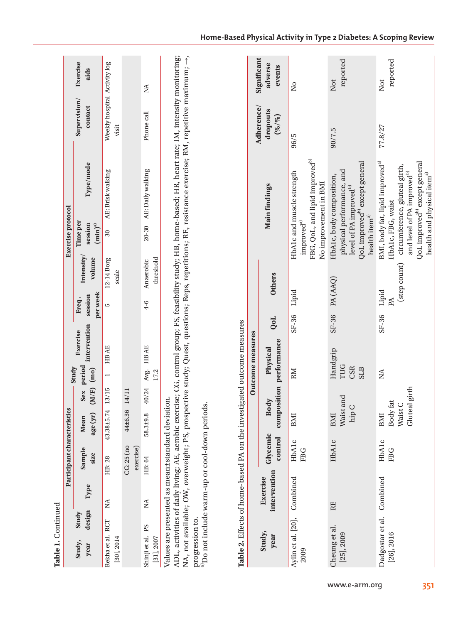| Ĭ  |
|----|
| ï  |
|    |
|    |
|    |
| т, |
|    |

| Table 1. Continued                |                 |      |                                                                                                                                                                           |                  |              |                         |                                  |                   |                            |                                    |                                                                                                                                                                                                                                |                                       |                  |
|-----------------------------------|-----------------|------|---------------------------------------------------------------------------------------------------------------------------------------------------------------------------|------------------|--------------|-------------------------|----------------------------------|-------------------|----------------------------|------------------------------------|--------------------------------------------------------------------------------------------------------------------------------------------------------------------------------------------------------------------------------|---------------------------------------|------------------|
|                                   |                 |      | Participant characteristics                                                                                                                                               |                  |              |                         |                                  |                   |                            | <b>Exercise</b> protocol           |                                                                                                                                                                                                                                |                                       |                  |
| Study,<br>year                    | design<br>Study | Type | Sample<br>size                                                                                                                                                            | age (yr)<br>Mean | $(M/F)$ (mo) | Sex period<br>$-$ Study | intervention session<br>Exercise | per week<br>Freq. | Intensity/<br>volume       | Time per<br>session<br>$(min)^{a}$ | Type/mode                                                                                                                                                                                                                      | Supervision/<br>contact               | Exercise<br>aids |
| Rekha et al. RCT<br>$[30]$ , 2014 |                 |      | HB: 28                                                                                                                                                                    | 43.38±5.74       | 13/15 1 HBAE |                         |                                  | Б                 | 12-14 Borg<br>scale        | 30                                 | AE: Brisk walking                                                                                                                                                                                                              | Weekly hospital Activity log<br>visit |                  |
|                                   |                 |      | $CG:25$ (no<br>exercise)                                                                                                                                                  | 44±6.36          | 14/11        |                         |                                  |                   |                            |                                    |                                                                                                                                                                                                                                |                                       |                  |
| Shinji et al. PS<br>$[31]$ , 2007 |                 | Ź    | HB: 64                                                                                                                                                                    | 58.3±9.8         |              | 40/24 Avg. HBAE<br>17.2 |                                  |                   | threshold<br>4-6 Anaerobic |                                    | 20-30 AE: Daily walking                                                                                                                                                                                                        | Phone call                            | Ź                |
|                                   |                 |      | Values are presented as mean±standard deviation.<br>$\Lambda$ and $\Lambda$ . The contract of $\Lambda$ is a set of $\Lambda$ is a set of $\Lambda$ is a set of $\Lambda$ |                  |              |                         |                                  |                   |                            |                                    | design and the contract of the second contract of the contract of the contract of the contract of the contract of the contract of the contract of the contract of the contract of the contract of the contract of the contract |                                       |                  |

ADL, activities of daily living; AE, aerobic exercise; CG, control group; FS, feasibility study; HB, home-based; HR, heart rate; IM, intensity monitoring;<br>NA, not available; OW, overweight; PS, prospective study; Quest, qu ADL, activities of daily living; AE, aerobic exercise; CG, control group; FS, feasibility study; HB, home-based; HR, heart rate; IM, intensity monitoring; NA, not available; OW, overweight; PS, prospective study; Quest, questions; Reps, repetitions; RE, resistance exercise; RM, repetitive maximum; →, progression to.<br><sup>a</sup>Do not include warm-up or cool-down periods. progression to.

a)Do not include warm-up or cool-down periods.

| Table 2. Effects of home-based PA on the investigated outcome measures |                          |                     |                                                |                                             |             |                |                                                                                                                                                                                                                                                 |                                   |                                  |
|------------------------------------------------------------------------|--------------------------|---------------------|------------------------------------------------|---------------------------------------------|-------------|----------------|-------------------------------------------------------------------------------------------------------------------------------------------------------------------------------------------------------------------------------------------------|-----------------------------------|----------------------------------|
|                                                                        |                          |                     |                                                | Outcome measures                            |             |                |                                                                                                                                                                                                                                                 |                                   |                                  |
| Study,<br>year                                                         | intervention<br>Exercise | Glycemic            | control composition performance<br><b>Body</b> | Physical                                    | QoL         | <b>Others</b>  | <b>Main findings</b>                                                                                                                                                                                                                            | Adherence/<br>dropouts<br>(96/96) | Significant<br>adverse<br>events |
| Aylin et al. [20], Combined<br>2009                                    |                          | HbAlc<br><b>FBG</b> | BMI                                            | RM                                          | SF-36 Lipid |                | FBG, QoL, and lipid improved <sup>b)</sup><br>HbA1c and muscle strength<br>No improvement in BMI<br>improved <sup>a)</sup>                                                                                                                      | 96/5                              | ž                                |
| Cheung et al.<br>$[25]$ , $2009$                                       | RE                       | HbAlc               | and<br>Waist<br>hip<br>BMI                     | Handgrip<br>TUG<br><b>CSR</b><br><b>SLB</b> |             | SF-36 PA (AAQ) | QoL improved <sup>b)</sup> except general<br>physical performance, and<br>HbA1c, body composition,<br>level of PA improved <sup>b)</sup><br>health item $^{\mathrm{a)}}$                                                                        | 90/7.5                            | reported<br>Not                  |
| Dadgostar et al. Combined<br>$[26]$ , $2016$                           |                          | HbAlc<br><b>FBG</b> | Gluteal girth<br>Body fat<br>Waist C<br>BMI    | Ź                                           | SF-36 Lipid | PA             | BMI, body fat, lipid improved <sup>a)</sup><br>QoL improved <sup>b)</sup> except general<br>(step count) circumference, gluteal girth,<br>and level of PA improved <sup>b)</sup><br>health and physical item <sup>a)</sup><br>HbA1c, FBG, waist | 77.8/27                           | reported<br>Not                  |

## **Home-Based Physical Activity in Type 2 Diabetes: A Scoping Review**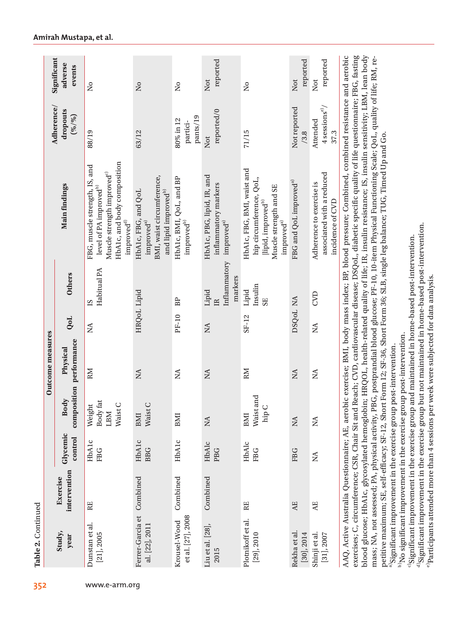| adverse<br>events<br>Not<br>Not<br>Not<br>$\overline{\mathsf{a}}$<br>$\tilde{\mathbf{z}}$<br>$\overline{\mathsf{S}}$<br>$\overline{\mathsf{S}}$<br>4 sessions <sup>e)</sup> /<br>Not reported<br>dropouts<br>reported/0<br>(6/9)<br>pants/19<br>80% in 12<br>Attended<br>partici-<br>88/19<br>63/12<br>71/15<br>37.3<br>/3.8<br>Not<br>HbA1c, and body composition<br>FBG, muscle strength, IS, and<br>HbA1c, FBG, BMI, waist and<br>Muscle strength improved <sup>c)</sup><br>associated with a reduced<br>HbA1c, PBG, lipid, IR, and<br>BMI, waist circumference,<br>HbA1c, BMI, QoL, and BP<br>hip circumference, QoL,<br>FBG and QoL improved <sup>a)</sup><br>Adherence to exercise is<br>inflammatory markers<br><b>Main findings</b><br>level of PA improved $^{\rm b)}$<br>Muscle strength and SE<br>and lipid improved <sup>b)</sup><br>HbA1c, FBG, and QoL<br>incidence of CVD<br>lipid, improved <sup>b)</sup><br>improved <sup>a)</sup><br>improved $^\mathrm{d)}$<br>$improved^{\rm b)}$<br>improved <sup>a)</sup><br>$\mbox{improved}^{\mbox{\tiny{\textup{d}}}}$<br>Inflammatory<br>Habitual PA<br><b>Others</b><br>markers<br>Insulin<br>HRQoL Lipid<br>Lipid<br>Lipid<br>CVD<br>DSQ <sub>oL</sub> NA<br>BP<br>SE <sub></sub><br>$\mathbb{E}$<br>SI<br>PF-10<br>SF-12<br>QoL<br>$\mathbb{Z}$<br>$\mathop{\boxtimes}\limits$<br>ΣÁ<br>performance<br>Physical<br>RМ<br>RM<br>$\lesssim$<br>$\mathop{\rm NA}\nolimits$<br>$\mathbb{Z}$<br>$\rm \stackrel{\Delta}{\simeq}$<br>$\rm \stackrel{AA}{\sim}$<br>composition<br>and<br>Body<br>Body fat<br>$\cup$<br>Weight<br>$\cup$<br>hip C<br>Waist:<br>Waist<br>Waist<br>LBM<br>BMI<br>BMI<br>BMI<br>$\lesssim$<br>$\rm NA$<br>$\rm NA$<br>Glycemic<br>control<br><b>HbAlc</b><br>HbAlc<br>HbAlc<br>HbAlc<br>HbAlc<br><b>BBG</b><br><b>FBG</b><br>PBG<br><b>FBG</b><br>FBG<br>$\lesssim$<br>intervention<br>Combined<br>Combined<br>Combined<br>Exercise<br><b>AE</b><br>RE<br>RE<br>AE<br>Ferrer-Garcia et<br>et al. [27], 2008<br>Plotnikoff et al.<br>Krousel-Wood<br>Dunstan et al.<br>al. [22], 2011<br>Liu et al. [28],<br>Rekha et al<br>$[21]$ , 2005<br>$[30]$ , 2014<br>Shinji et al.<br>$[31]$ , 2007<br>$[29]$ , $2010$<br>year<br>2015 |        |  | Outcome measures |  | Adherence/ | Significant |
|-----------------------------------------------------------------------------------------------------------------------------------------------------------------------------------------------------------------------------------------------------------------------------------------------------------------------------------------------------------------------------------------------------------------------------------------------------------------------------------------------------------------------------------------------------------------------------------------------------------------------------------------------------------------------------------------------------------------------------------------------------------------------------------------------------------------------------------------------------------------------------------------------------------------------------------------------------------------------------------------------------------------------------------------------------------------------------------------------------------------------------------------------------------------------------------------------------------------------------------------------------------------------------------------------------------------------------------------------------------------------------------------------------------------------------------------------------------------------------------------------------------------------------------------------------------------------------------------------------------------------------------------------------------------------------------------------------------------------------------------------------------------------------------------------------------------------------------------------------------------------------------------------------------------------------------------------------------------------------------------------------------------------------------------------------------------------------------------------------------------------------------------------------------------------------------------------------------------|--------|--|------------------|--|------------|-------------|
|                                                                                                                                                                                                                                                                                                                                                                                                                                                                                                                                                                                                                                                                                                                                                                                                                                                                                                                                                                                                                                                                                                                                                                                                                                                                                                                                                                                                                                                                                                                                                                                                                                                                                                                                                                                                                                                                                                                                                                                                                                                                                                                                                                                                                 | Study, |  |                  |  |            |             |
|                                                                                                                                                                                                                                                                                                                                                                                                                                                                                                                                                                                                                                                                                                                                                                                                                                                                                                                                                                                                                                                                                                                                                                                                                                                                                                                                                                                                                                                                                                                                                                                                                                                                                                                                                                                                                                                                                                                                                                                                                                                                                                                                                                                                                 |        |  |                  |  |            |             |
|                                                                                                                                                                                                                                                                                                                                                                                                                                                                                                                                                                                                                                                                                                                                                                                                                                                                                                                                                                                                                                                                                                                                                                                                                                                                                                                                                                                                                                                                                                                                                                                                                                                                                                                                                                                                                                                                                                                                                                                                                                                                                                                                                                                                                 |        |  |                  |  |            |             |
|                                                                                                                                                                                                                                                                                                                                                                                                                                                                                                                                                                                                                                                                                                                                                                                                                                                                                                                                                                                                                                                                                                                                                                                                                                                                                                                                                                                                                                                                                                                                                                                                                                                                                                                                                                                                                                                                                                                                                                                                                                                                                                                                                                                                                 |        |  |                  |  |            |             |
|                                                                                                                                                                                                                                                                                                                                                                                                                                                                                                                                                                                                                                                                                                                                                                                                                                                                                                                                                                                                                                                                                                                                                                                                                                                                                                                                                                                                                                                                                                                                                                                                                                                                                                                                                                                                                                                                                                                                                                                                                                                                                                                                                                                                                 |        |  |                  |  |            | reported    |
|                                                                                                                                                                                                                                                                                                                                                                                                                                                                                                                                                                                                                                                                                                                                                                                                                                                                                                                                                                                                                                                                                                                                                                                                                                                                                                                                                                                                                                                                                                                                                                                                                                                                                                                                                                                                                                                                                                                                                                                                                                                                                                                                                                                                                 |        |  |                  |  |            |             |
|                                                                                                                                                                                                                                                                                                                                                                                                                                                                                                                                                                                                                                                                                                                                                                                                                                                                                                                                                                                                                                                                                                                                                                                                                                                                                                                                                                                                                                                                                                                                                                                                                                                                                                                                                                                                                                                                                                                                                                                                                                                                                                                                                                                                                 |        |  |                  |  |            | reported    |
|                                                                                                                                                                                                                                                                                                                                                                                                                                                                                                                                                                                                                                                                                                                                                                                                                                                                                                                                                                                                                                                                                                                                                                                                                                                                                                                                                                                                                                                                                                                                                                                                                                                                                                                                                                                                                                                                                                                                                                                                                                                                                                                                                                                                                 |        |  |                  |  |            | reported    |

b)No significant improvement in the exercise group post-intervention.

 $\frac{1}{2}$ No significant improvement in the exercise group post-intervention.

c)Significant improvement in the exercise group and maintained in home-based post-intervention.  $^{a}$ Significant improvement in the exercise group but not maintained in home-based post-intervention.

°|Significant improvement in the exercise group and maintained in home-based post-intervention.<br>°|Significant improvement in the exercise group but not maintained in home-based post-intervention.<br>°|Participants attended m

e)Participants attended more than 4 sessions per week were subjected for data analysis.

**Amirah Mustapa, et al.**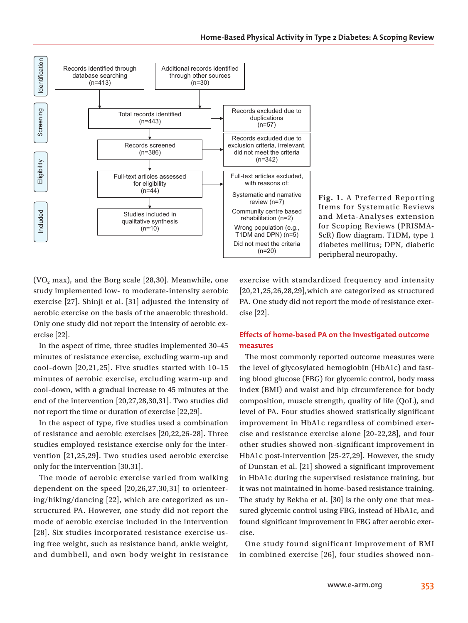

**Fig. 1.** A Preferred Reporting Items for Systematic Reviews and Meta-Analyses extension for Scoping Reviews (PRISMA-ScR) flow diagram. T1DM, type 1 diabetes mellitus; DPN, diabetic peripheral neuropathy.

 $(VO<sub>2</sub> max)$ , and the Borg scale [28,30]. Meanwhile, one study implemented low- to moderate-intensity aerobic exercise [27]. Shinji et al. [31] adjusted the intensity of aerobic exercise on the basis of the anaerobic threshold. Only one study did not report the intensity of aerobic exercise [22].

In the aspect of time, three studies implemented 30–45 minutes of resistance exercise, excluding warm-up and cool-down [20,21,25]. Five studies started with 10–15 minutes of aerobic exercise, excluding warm-up and cool-down, with a gradual increase to 45 minutes at the end of the intervention [20,27,28,30,31]. Two studies did not report the time or duration of exercise [22,29].

In the aspect of type, five studies used a combination of resistance and aerobic exercises [20,22,26-28]. Three studies employed resistance exercise only for the intervention [21,25,29]. Two studies used aerobic exercise only for the intervention [30,31].

The mode of aerobic exercise varied from walking dependent on the speed [20,26,27,30,31] to orienteering/hiking/dancing [22], which are categorized as unstructured PA. However, one study did not report the mode of aerobic exercise included in the intervention [28]. Six studies incorporated resistance exercise using free weight, such as resistance band, ankle weight, and dumbbell, and own body weight in resistance

exercise with standardized frequency and intensity [20,21,25,26,28,29],which are categorized as structured PA. One study did not report the mode of resistance exercise [22].

## **Effects of home-based PA on the investigated outcome measures**

The most commonly reported outcome measures were the level of glycosylated hemoglobin (HbA1c) and fasting blood glucose (FBG) for glycemic control, body mass index (BMI) and waist and hip circumference for body composition, muscle strength, quality of life (QoL), and level of PA. Four studies showed statistically significant improvement in HbA1c regardless of combined exercise and resistance exercise alone [20-22,28], and four other studies showed non-significant improvement in HbA1c post-intervention [25-27,29]. However, the study of Dunstan et al. [21] showed a significant improvement in HbA1c during the supervised resistance training, but it was not maintained in home-based resistance training. The study by Rekha et al. [30] is the only one that measured glycemic control using FBG, instead of HbA1c, and found significant improvement in FBG after aerobic exercise.

One study found significant improvement of BMI in combined exercise [26], four studies showed non-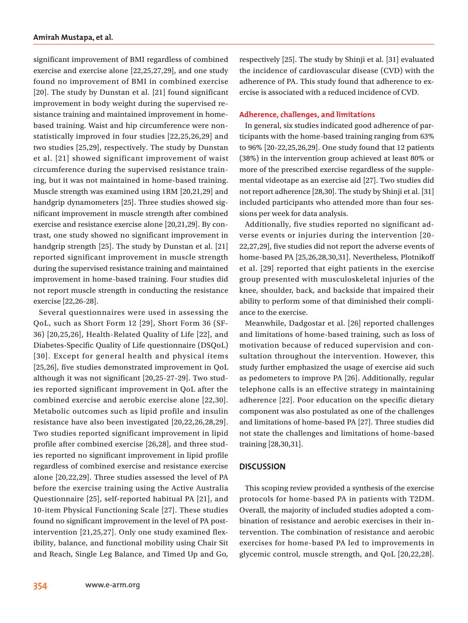significant improvement of BMI regardless of combined exercise and exercise alone [22,25,27,29], and one study found no improvement of BMI in combined exercise [20]. The study by Dunstan et al. [21] found significant improvement in body weight during the supervised resistance training and maintained improvement in homebased training. Waist and hip circumference were nonstatistically improved in four studies [22,25,26,29] and two studies [25,29], respectively. The study by Dunstan et al. [21] showed significant improvement of waist circumference during the supervised resistance training, but it was not maintained in home-based training. Muscle strength was examined using 1RM [20,21,29] and handgrip dynamometers [25]. Three studies showed significant improvement in muscle strength after combined exercise and resistance exercise alone [20,21,29]. By contrast, one study showed no significant improvement in handgrip strength [25]. The study by Dunstan et al. [21] reported significant improvement in muscle strength during the supervised resistance training and maintained improvement in home-based training. Four studies did not report muscle strength in conducting the resistance exercise [22,26-28].

Several questionnaires were used in assessing the QoL, such as Short Form 12 [29], Short Form 36 (SF-36) [20,25,26], Health-Related Quality of Life [22], and Diabetes-Specific Quality of Life questionnaire (DSQoL) [30]. Except for general health and physical items [25,26], five studies demonstrated improvement in QoL although it was not significant [20,25-27-29]. Two studies reported significant improvement in QoL after the combined exercise and aerobic exercise alone [22,30]. Metabolic outcomes such as lipid profile and insulin resistance have also been investigated [20,22,26,28,29]. Two studies reported significant improvement in lipid profile after combined exercise [26,28], and three studies reported no significant improvement in lipid profile regardless of combined exercise and resistance exercise alone [20,22,29]. Three studies assessed the level of PA before the exercise training using the Active Australia Questionnaire [25], self-reported habitual PA [21], and 10-item Physical Functioning Scale [27]. These studies found no significant improvement in the level of PA postintervention [21,25,27]. Only one study examined flexibility, balance, and functional mobility using Chair Sit and Reach, Single Leg Balance, and Timed Up and Go, respectively [25]. The study by Shinji et al. [31] evaluated the incidence of cardiovascular disease (CVD) with the adherence of PA. This study found that adherence to exercise is associated with a reduced incidence of CVD.

### **Adherence, challenges, and limitations**

In general, six studies indicated good adherence of participants with the home-based training ranging from 63% to 96% [20-22,25,26,29]. One study found that 12 patients (38%) in the intervention group achieved at least 80% or more of the prescribed exercise regardless of the supplemental videotape as an exercise aid [27]. Two studies did not report adherence [28,30]. The study by Shinji et al. [31] included participants who attended more than four sessions per week for data analysis.

Additionally, five studies reported no significant adverse events or injuries during the intervention [20- 22,27,29], five studies did not report the adverse events of home-based PA [25,26,28,30,31]. Nevertheless, Plotnikoff et al. [29] reported that eight patients in the exercise group presented with musculoskeletal injuries of the knee, shoulder, back, and backside that impaired their ability to perform some of that diminished their compliance to the exercise.

Meanwhile, Dadgostar et al. [26] reported challenges and limitations of home-based training, such as loss of motivation because of reduced supervision and consultation throughout the intervention. However, this study further emphasized the usage of exercise aid such as pedometers to improve PA [26]. Additionally, regular telephone calls is an effective strategy in maintaining adherence [22]. Poor education on the specific dietary component was also postulated as one of the challenges and limitations of home-based PA [27]. Three studies did not state the challenges and limitations of home-based training [28,30,31].

## **DISCUSSION**

This scoping review provided a synthesis of the exercise protocols for home-based PA in patients with T2DM. Overall, the majority of included studies adopted a combination of resistance and aerobic exercises in their intervention. The combination of resistance and aerobic exercises for home-based PA led to improvements in glycemic control, muscle strength, and QoL [20,22,28].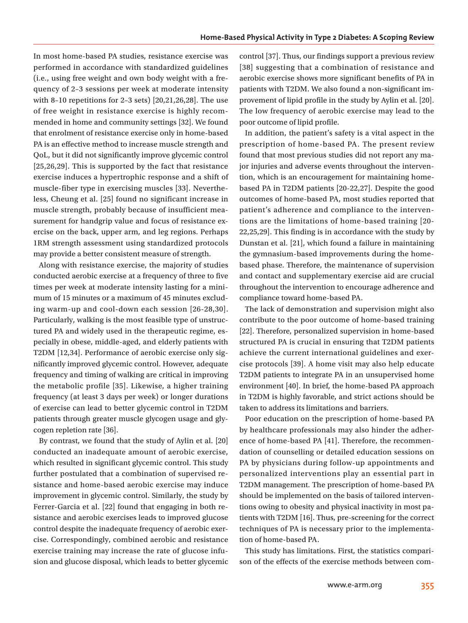In most home-based PA studies, resistance exercise was performed in accordance with standardized guidelines (i.e., using free weight and own body weight with a frequency of 2–3 sessions per week at moderate intensity with 8–10 repetitions for 2–3 sets) [20,21,26,28]. The use of free weight in resistance exercise is highly recommended in home and community settings [32]. We found that enrolment of resistance exercise only in home-based PA is an effective method to increase muscle strength and QoL, but it did not significantly improve glycemic control [25,26,29]. This is supported by the fact that resistance exercise induces a hypertrophic response and a shift of muscle-fiber type in exercising muscles [33]. Nevertheless, Cheung et al. [25] found no significant increase in muscle strength, probably because of insufficient measurement for handgrip value and focus of resistance exercise on the back, upper arm, and leg regions. Perhaps 1RM strength assessment using standardized protocols may provide a better consistent measure of strength.

Along with resistance exercise, the majority of studies conducted aerobic exercise at a frequency of three to five times per week at moderate intensity lasting for a minimum of 15 minutes or a maximum of 45 minutes excluding warm-up and cool-down each session [26-28,30]. Particularly, walking is the most feasible type of unstructured PA and widely used in the therapeutic regime, especially in obese, middle-aged, and elderly patients with T2DM [12,34]. Performance of aerobic exercise only significantly improved glycemic control. However, adequate frequency and timing of walking are critical in improving the metabolic profile [35]. Likewise, a higher training frequency (at least 3 days per week) or longer durations of exercise can lead to better glycemic control in T2DM patients through greater muscle glycogen usage and glycogen repletion rate [36].

By contrast, we found that the study of Aylin et al. [20] conducted an inadequate amount of aerobic exercise, which resulted in significant glycemic control. This study further postulated that a combination of supervised resistance and home-based aerobic exercise may induce improvement in glycemic control. Similarly, the study by Ferrer-Garcia et al. [22] found that engaging in both resistance and aerobic exercises leads to improved glucose control despite the inadequate frequency of aerobic exercise. Correspondingly, combined aerobic and resistance exercise training may increase the rate of glucose infusion and glucose disposal, which leads to better glycemic

control [37]. Thus, our findings support a previous review [38] suggesting that a combination of resistance and aerobic exercise shows more significant benefits of PA in patients with T2DM. We also found a non-significant improvement of lipid profile in the study by Aylin et al. [20]. The low frequency of aerobic exercise may lead to the poor outcome of lipid profile.

In addition, the patient's safety is a vital aspect in the prescription of home-based PA. The present review found that most previous studies did not report any major injuries and adverse events throughout the intervention, which is an encouragement for maintaining homebased PA in T2DM patients [20-22,27]. Despite the good outcomes of home-based PA, most studies reported that patient's adherence and compliance to the interventions are the limitations of home-based training [20- 22,25,29]. This finding is in accordance with the study by Dunstan et al. [21], which found a failure in maintaining the gymnasium-based improvements during the homebased phase. Therefore, the maintenance of supervision and contact and supplementary exercise aid are crucial throughout the intervention to encourage adherence and compliance toward home-based PA.

The lack of demonstration and supervision might also contribute to the poor outcome of home-based training [22]. Therefore, personalized supervision in home-based structured PA is crucial in ensuring that T2DM patients achieve the current international guidelines and exercise protocols [39]. A home visit may also help educate T2DM patients to integrate PA in an unsupervised home environment [40]. In brief, the home-based PA approach in T2DM is highly favorable, and strict actions should be taken to address its limitations and barriers.

Poor education on the prescription of home-based PA by healthcare professionals may also hinder the adherence of home-based PA [41]. Therefore, the recommendation of counselling or detailed education sessions on PA by physicians during follow-up appointments and personalized interventions play an essential part in T2DM management. The prescription of home-based PA should be implemented on the basis of tailored interventions owing to obesity and physical inactivity in most patients with T2DM [16]. Thus, pre-screening for the correct techniques of PA is necessary prior to the implementation of home-based PA.

This study has limitations. First, the statistics comparison of the effects of the exercise methods between com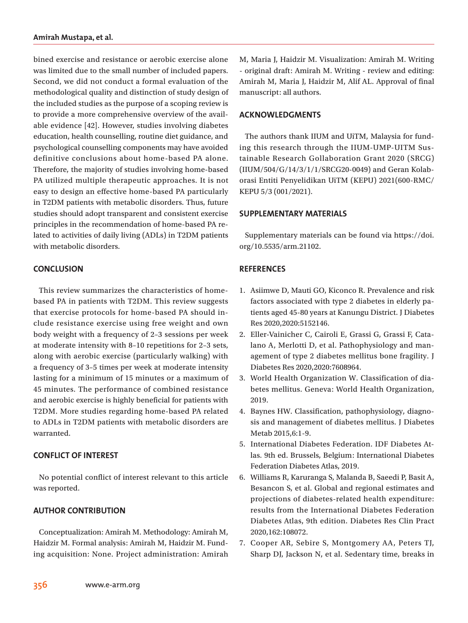bined exercise and resistance or aerobic exercise alone was limited due to the small number of included papers. Second, we did not conduct a formal evaluation of the methodological quality and distinction of study design of the included studies as the purpose of a scoping review is to provide a more comprehensive overview of the available evidence [42]. However, studies involving diabetes education, health counselling, routine diet guidance, and psychological counselling components may have avoided definitive conclusions about home-based PA alone. Therefore, the majority of studies involving home-based PA utilized multiple therapeutic approaches. It is not easy to design an effective home-based PA particularly in T2DM patients with metabolic disorders. Thus, future studies should adopt transparent and consistent exercise principles in the recommendation of home-based PA related to activities of daily living (ADLs) in T2DM patients with metabolic disorders.

## **CONCLUSION**

This review summarizes the characteristics of homebased PA in patients with T2DM. This review suggests that exercise protocols for home-based PA should include resistance exercise using free weight and own body weight with a frequency of 2–3 sessions per week at moderate intensity with 8–10 repetitions for 2–3 sets, along with aerobic exercise (particularly walking) with a frequency of 3–5 times per week at moderate intensity lasting for a minimum of 15 minutes or a maximum of 45 minutes. The performance of combined resistance and aerobic exercise is highly beneficial for patients with T2DM. More studies regarding home-based PA related to ADLs in T2DM patients with metabolic disorders are warranted.

## **CONFLICT OF INTEREST**

No potential conflict of interest relevant to this article was reported.

## **AUTHOR CONTRIBUTION**

Conceptualization: Amirah M. Methodology: Amirah M, Haidzir M. Formal analysis: Amirah M, Haidzir M. Funding acquisition: None. Project administration: Amirah

M, Maria J, Haidzir M. Visualization: Amirah M. Writing - original draft: Amirah M. Writing - review and editing: Amirah M, Maria J, Haidzir M, Alif AL. Approval of final manuscript: all authors.

## **ACKNOWLEDGMENTS**

The authors thank IIUM and UiTM, Malaysia for funding this research through the IIUM-UMP-UITM Sustainable Research Gollaboration Grant 2020 (SRCG) (IIUM/504/G/14/3/1/1/SRCG20-0049) and Geran Kolaborasi Entiti Penyelidikan UiTM (KEPU) 2021(600-RMC/ KEPU 5/3 (001/2021).

#### **SUPPLEMENTARY MATERIALS**

Supplementary materials can be found via https://doi. org/10.5535/arm.21102.

## **REFERENCES**

- 1. Asiimwe D, Mauti GO, Kiconco R. Prevalence and risk factors associated with type 2 diabetes in elderly patients aged 45-80 years at Kanungu District. J Diabetes Res 2020,2020:5152146.
- 2. Eller-Vainicher C, Cairoli E, Grassi G, Grassi F, Catalano A, Merlotti D, et al. Pathophysiology and management of type 2 diabetes mellitus bone fragility. J Diabetes Res 2020,2020:7608964.
- 3. World Health Organization W. Classification of diabetes mellitus. Geneva: World Health Organization, 2019.
- 4. Baynes HW. Classification, pathophysiology, diagnosis and management of diabetes mellitus. J Diabetes Metab 2015,6:1-9.
- 5. International Diabetes Federation. IDF Diabetes Atlas. 9th ed. Brussels, Belgium: International Diabetes Federation Diabetes Atlas, 2019.
- 6. Williams R, Karuranga S, Malanda B, Saeedi P, Basit A, Besancon S, et al. Global and regional estimates and projections of diabetes-related health expenditure: results from the International Diabetes Federation Diabetes Atlas, 9th edition. Diabetes Res Clin Pract 2020,162:108072.
- 7. Cooper AR, Sebire S, Montgomery AA, Peters TJ, Sharp DJ, Jackson N, et al. Sedentary time, breaks in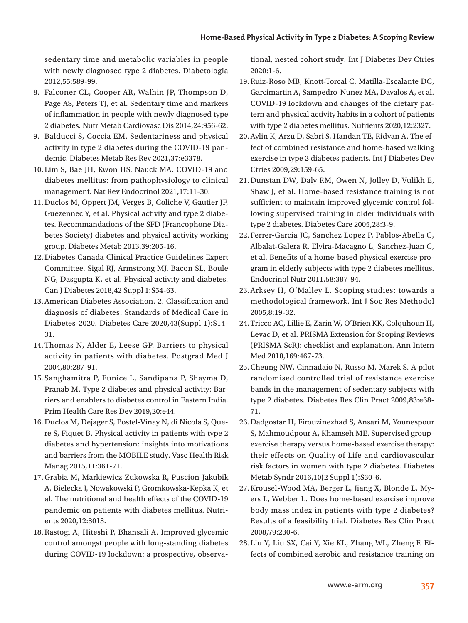sedentary time and metabolic variables in people with newly diagnosed type 2 diabetes. Diabetologia 2012,55:589-99.

- 8. Falconer CL, Cooper AR, Walhin JP, Thompson D, Page AS, Peters TJ, et al. Sedentary time and markers of inflammation in people with newly diagnosed type 2 diabetes. Nutr Metab Cardiovasc Dis 2014,24:956-62.
- 9. Balducci S, Coccia EM. Sedentariness and physical activity in type 2 diabetes during the COVID-19 pandemic. Diabetes Metab Res Rev 2021,37:e3378.
- 10. Lim S, Bae JH, Kwon HS, Nauck MA. COVID-19 and diabetes mellitus: from pathophysiology to clinical management. Nat Rev Endocrinol 2021,17:11-30.
- 11.Duclos M, Oppert JM, Verges B, Coliche V, Gautier JF, Guezennec Y, et al. Physical activity and type 2 diabetes. Recommandations of the SFD (Francophone Diabetes Society) diabetes and physical activity working group. Diabetes Metab 2013,39:205-16.
- 12.Diabetes Canada Clinical Practice Guidelines Expert Committee, Sigal RJ, Armstrong MJ, Bacon SL, Boule NG, Dasgupta K, et al. Physical activity and diabetes. Can J Diabetes 2018,42 Suppl 1:S54-63.
- 13.American Diabetes Association. 2. Classification and diagnosis of diabetes: Standards of Medical Care in Diabetes-2020. Diabetes Care 2020,43(Suppl 1):S14- 31.
- 14.Thomas N, Alder E, Leese GP. Barriers to physical activity in patients with diabetes. Postgrad Med J 2004,80:287-91.
- 15. Sanghamitra P, Eunice L, Sandipana P, Shayma D, Pranab M. Type 2 diabetes and physical activity: Barriers and enablers to diabetes control in Eastern India. Prim Health Care Res Dev 2019,20:e44.
- 16.Duclos M, Dejager S, Postel-Vinay N, di Nicola S, Quere S, Fiquet B. Physical activity in patients with type 2 diabetes and hypertension: insights into motivations and barriers from the MOBILE study. Vasc Health Risk Manag 2015,11:361-71.
- 17.Grabia M, Markiewicz-Zukowska R, Puscion-Jakubik A, Bielecka J, Nowakowski P, Gromkowska-Kepka K, et al. The nutritional and health effects of the COVID-19 pandemic on patients with diabetes mellitus. Nutrients 2020,12:3013.
- 18.Rastogi A, Hiteshi P, Bhansali A. Improved glycemic control amongst people with long-standing diabetes during COVID-19 lockdown: a prospective, observa-

tional, nested cohort study. Int J Diabetes Dev Ctries 2020:1-6.

- 19.Ruiz-Roso MB, Knott-Torcal C, Matilla-Escalante DC, Garcimartin A, Sampedro-Nunez MA, Davalos A, et al. COVID-19 lockdown and changes of the dietary pattern and physical activity habits in a cohort of patients with type 2 diabetes mellitus. Nutrients 2020,12:2327.
- 20.Aylin K, Arzu D, Sabri S, Handan TE, Ridvan A. The effect of combined resistance and home-based walking exercise in type 2 diabetes patients. Int J Diabetes Dev Ctries 2009,29:159-65.
- 21.Dunstan DW, Daly RM, Owen N, Jolley D, Vulikh E, Shaw J, et al. Home-based resistance training is not sufficient to maintain improved glycemic control following supervised training in older individuals with type 2 diabetes. Diabetes Care 2005,28:3-9.
- 22. Ferrer-Garcia JC, Sanchez Lopez P, Pablos-Abella C, Albalat-Galera R, Elvira-Macagno L, Sanchez-Juan C, et al. Benefits of a home-based physical exercise program in elderly subjects with type 2 diabetes mellitus. Endocrinol Nutr 2011,58:387-94.
- 23.Arksey H, O'Malley L. Scoping studies: towards a methodological framework. Int J Soc Res Methodol 2005,8:19-32.
- 24.Tricco AC, Lillie E, Zarin W, O'Brien KK, Colquhoun H, Levac D, et al. PRISMA Extension for Scoping Reviews (PRISMA-ScR): checklist and explanation. Ann Intern Med 2018,169:467-73.
- 25.Cheung NW, Cinnadaio N, Russo M, Marek S. A pilot randomised controlled trial of resistance exercise bands in the management of sedentary subjects with type 2 diabetes. Diabetes Res Clin Pract 2009,83:e68- 71.
- 26.Dadgostar H, Firouzinezhad S, Ansari M, Younespour S, Mahmoudpour A, Khamseh ME. Supervised groupexercise therapy versus home-based exercise therapy: their effects on Quality of Life and cardiovascular risk factors in women with type 2 diabetes. Diabetes Metab Syndr 2016,10(2 Suppl 1):S30-6.
- 27.Krousel-Wood MA, Berger L, Jiang X, Blonde L, Myers L, Webber L. Does home-based exercise improve body mass index in patients with type 2 diabetes? Results of a feasibility trial. Diabetes Res Clin Pract 2008,79:230-6.
- 28. Liu Y, Liu SX, Cai Y, Xie KL, Zhang WL, Zheng F. Effects of combined aerobic and resistance training on